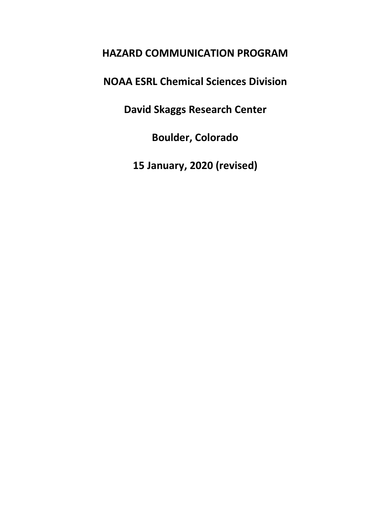# **HAZARD COMMUNICATION PROGRAM**

**NOAA ESRL Chemical Sciences Division**

**David Skaggs Research Center**

**Boulder, Colorado**

**15 January, 2020 (revised)**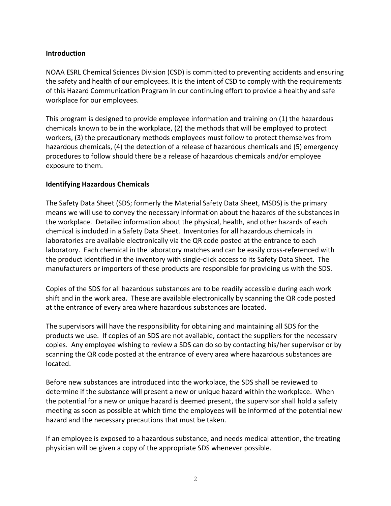# **Introduction**

NOAA ESRL Chemical Sciences Division (CSD) is committed to preventing accidents and ensuring the safety and health of our employees. It is the intent of CSD to comply with the requirements of this Hazard Communication Program in our continuing effort to provide a healthy and safe workplace for our employees.

This program is designed to provide employee information and training on (1) the hazardous chemicals known to be in the workplace, (2) the methods that will be employed to protect workers, (3) the precautionary methods employees must follow to protect themselves from hazardous chemicals, (4) the detection of a release of hazardous chemicals and (5) emergency procedures to follow should there be a release of hazardous chemicals and/or employee exposure to them.

### **Identifying Hazardous Chemicals**

The Safety Data Sheet (SDS; formerly the Material Safety Data Sheet, MSDS) is the primary means we will use to convey the necessary information about the hazards of the substances in the workplace. Detailed information about the physical, health, and other hazards of each chemical is included in a Safety Data Sheet. Inventories for all hazardous chemicals in laboratories are available electronically via the QR code posted at the entrance to each laboratory. Each chemical in the laboratory matches and can be easily cross-referenced with the product identified in the inventory with single-click access to its Safety Data Sheet. The manufacturers or importers of these products are responsible for providing us with the SDS.

Copies of the SDS for all hazardous substances are to be readily accessible during each work shift and in the work area. These are available electronically by scanning the QR code posted at the entrance of every area where hazardous substances are located.

The supervisors will have the responsibility for obtaining and maintaining all SDS for the products we use. If copies of an SDS are not available, contact the suppliers for the necessary copies. Any employee wishing to review a SDS can do so by contacting his/her supervisor or by scanning the QR code posted at the entrance of every area where hazardous substances are located.

Before new substances are introduced into the workplace, the SDS shall be reviewed to determine if the substance will present a new or unique hazard within the workplace. When the potential for a new or unique hazard is deemed present, the supervisor shall hold a safety meeting as soon as possible at which time the employees will be informed of the potential new hazard and the necessary precautions that must be taken.

If an employee is exposed to a hazardous substance, and needs medical attention, the treating physician will be given a copy of the appropriate SDS whenever possible.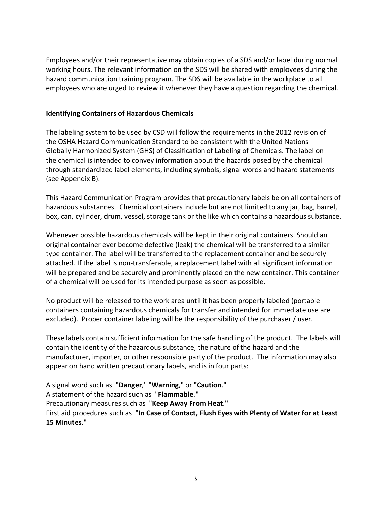Employees and/or their representative may obtain copies of a SDS and/or label during normal working hours. The relevant information on the SDS will be shared with employees during the hazard communication training program. The SDS will be available in the workplace to all employees who are urged to review it whenever they have a question regarding the chemical.

#### **Identifying Containers of Hazardous Chemicals**

The labeling system to be used by CSD will follow the requirements in the 2012 revision of the OSHA Hazard Communication Standard to be consistent with the United Nations Globally Harmonized System (GHS) of Classification of Labeling of Chemicals. The label on the chemical is intended to convey information about the hazards posed by the chemical through standardized label elements, including symbols, signal words and hazard statements (see Appendix B).

This Hazard Communication Program provides that precautionary labels be on all containers of hazardous substances. Chemical containers include but are not limited to any jar, bag, barrel, box, can, cylinder, drum, vessel, storage tank or the like which contains a hazardous substance.

Whenever possible hazardous chemicals will be kept in their original containers. Should an original container ever become defective (leak) the chemical will be transferred to a similar type container. The label will be transferred to the replacement container and be securely attached. If the label is non-transferable, a replacement label with all significant information will be prepared and be securely and prominently placed on the new container. This container of a chemical will be used for its intended purpose as soon as possible.

No product will be released to the work area until it has been properly labeled (portable containers containing hazardous chemicals for transfer and intended for immediate use are excluded). Proper container labeling will be the responsibility of the purchaser / user.

These labels contain sufficient information for the safe handling of the product. The labels will contain the identity of the hazardous substance, the nature of the hazard and the manufacturer, importer, or other responsible party of the product. The information may also appear on hand written precautionary labels, and is in four parts:

A signal word such as "**Danger**," "**Warning**," or "**Caution**." A statement of the hazard such as "**Flammable**."

Precautionary measures such as "**Keep Away From Heat**."

First aid procedures such as "**In Case of Contact, Flush Eyes with Plenty of Water for at Least 15 Minutes**."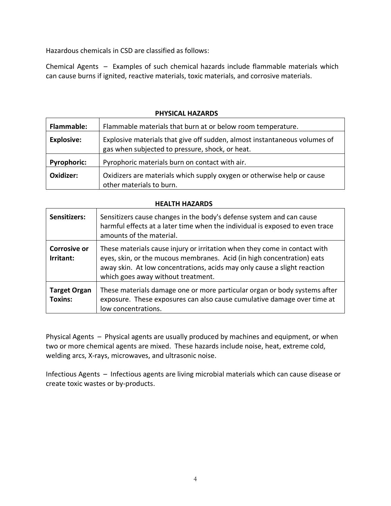Hazardous chemicals in CSD are classified as follows:

Chemical Agents – Examples of such chemical hazards include flammable materials which can cause burns if ignited, reactive materials, toxic materials, and corrosive materials.

| <b>Flammable:</b>  | Flammable materials that burn at or below room temperature.                                                                  |
|--------------------|------------------------------------------------------------------------------------------------------------------------------|
| <b>Explosive:</b>  | Explosive materials that give off sudden, almost instantaneous volumes of<br>gas when subjected to pressure, shock, or heat. |
| <b>Pyrophoric:</b> | Pyrophoric materials burn on contact with air.                                                                               |
| Oxidizer:          | Oxidizers are materials which supply oxygen or otherwise help or cause<br>other materials to burn.                           |

# **PHYSICAL HAZARDS**

#### **HEALTH HAZARDS**

| Sensitizers:                          | Sensitizers cause changes in the body's defense system and can cause<br>harmful effects at a later time when the individual is exposed to even trace<br>amounts of the material.                                                                                      |
|---------------------------------------|-----------------------------------------------------------------------------------------------------------------------------------------------------------------------------------------------------------------------------------------------------------------------|
| <b>Corrosive or</b><br>Irritant:      | These materials cause injury or irritation when they come in contact with<br>eyes, skin, or the mucous membranes. Acid (in high concentration) eats<br>away skin. At low concentrations, acids may only cause a slight reaction<br>which goes away without treatment. |
| <b>Target Organ</b><br><b>Toxins:</b> | These materials damage one or more particular organ or body systems after<br>exposure. These exposures can also cause cumulative damage over time at<br>low concentrations.                                                                                           |

Physical Agents – Physical agents are usually produced by machines and equipment, or when two or more chemical agents are mixed. These hazards include noise, heat, extreme cold, welding arcs, X-rays, microwaves, and ultrasonic noise.

Infectious Agents – Infectious agents are living microbial materials which can cause disease or create toxic wastes or by-products.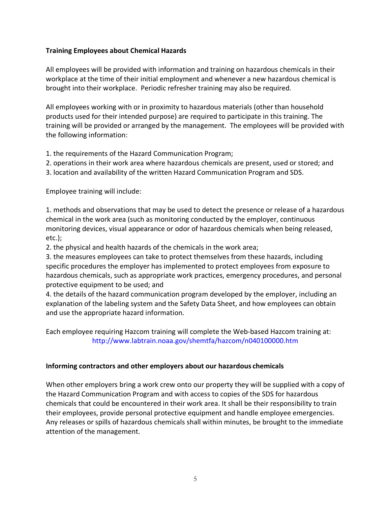# **Training Employees about Chemical Hazards**

All employees will be provided with information and training on hazardous chemicals in their workplace at the time of their initial employment and whenever a new hazardous chemical is brought into their workplace. Periodic refresher training may also be required.

All employees working with or in proximity to hazardous materials (other than household products used for their intended purpose) are required to participate in this training. The training will be provided or arranged by the management. The employees will be provided with the following information:

- 1. the requirements of the Hazard Communication Program;
- 2. operations in their work area where hazardous chemicals are present, used or stored; and
- 3. location and availability of the written Hazard Communication Program and SDS.

Employee training will include:

1. methods and observations that may be used to detect the presence or release of a hazardous chemical in the work area (such as monitoring conducted by the employer, continuous monitoring devices, visual appearance or odor of hazardous chemicals when being released, etc.);

2. the physical and health hazards of the chemicals in the work area;

3. the measures employees can take to protect themselves from these hazards, including specific procedures the employer has implemented to protect employees from exposure to hazardous chemicals, such as appropriate work practices, emergency procedures, and personal protective equipment to be used; and

4. the details of the hazard communication program developed by the employer, including an explanation of the labeling system and the Safety Data Sheet, and how employees can obtain and use the appropriate hazard information.

Each employee requiring Hazcom training will complete the Web-based Hazcom training at: http://www.labtrain.noaa.gov/shemtfa/hazcom/n040100000.htm

# **Informing contractors and other employers about our hazardous chemicals**

When other employers bring a work crew onto our property they will be supplied with a copy of the Hazard Communication Program and with access to copies of the SDS for hazardous chemicals that could be encountered in their work area. It shall be their responsibility to train their employees, provide personal protective equipment and handle employee emergencies. Any releases or spills of hazardous chemicals shall within minutes, be brought to the immediate attention of the management.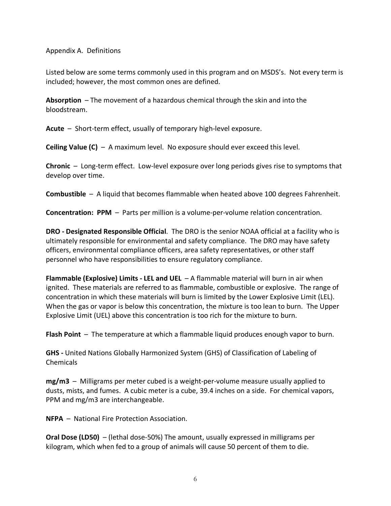#### Appendix A. Definitions

Listed below are some terms commonly used in this program and on MSDS's. Not every term is included; however, the most common ones are defined.

**Absorption** – The movement of a hazardous chemical through the skin and into the bloodstream.

**Acute** – Short-term effect, usually of temporary high-level exposure.

**Ceiling Value (C)** – A maximum level. No exposure should ever exceed this level.

**Chronic** – Long-term effect. Low-level exposure over long periods gives rise to symptoms that develop over time.

**Combustible** – A liquid that becomes flammable when heated above 100 degrees Fahrenheit.

**Concentration: PPM** – Parts per million is a volume-per-volume relation concentration.

**DRO - Designated Responsible Official**. The DRO is the senior NOAA official at a facility who is ultimately responsible for environmental and safety compliance.The DRO may have safety officers, environmental compliance officers, area safety representatives, or other staff personnel who have responsibilities to ensure regulatory compliance.

**Flammable (Explosive) Limits - LEL and UEL** – A flammable material will burn in air when ignited. These materials are referred to as flammable, combustible or explosive. The range of concentration in which these materials will burn is limited by the Lower Explosive Limit (LEL). When the gas or vapor is below this concentration, the mixture is too lean to burn. The Upper Explosive Limit (UEL) above this concentration is too rich for the mixture to burn.

**Flash Point** – The temperature at which a flammable liquid produces enough vapor to burn.

**GHS -** United Nations Globally Harmonized System (GHS) of Classification of Labeling of Chemicals

**mg/m3** – Milligrams per meter cubed is a weight-per-volume measure usually applied to dusts, mists, and fumes. A cubic meter is a cube, 39.4 inches on a side. For chemical vapors, PPM and mg/m3 are interchangeable.

**NFPA** – National Fire Protection Association.

**Oral Dose (LD50)** – (lethal dose-50%) The amount, usually expressed in milligrams per kilogram, which when fed to a group of animals will cause 50 percent of them to die.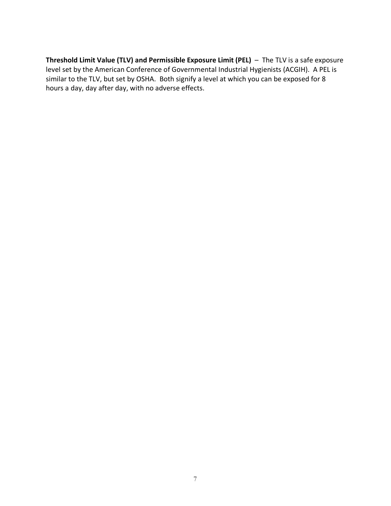**Threshold Limit Value (TLV) and Permissible Exposure Limit (PEL)** – The TLV is a safe exposure level set by the American Conference of Governmental Industrial Hygienists (ACGIH). A PEL is similar to the TLV, but set by OSHA. Both signify a level at which you can be exposed for 8 hours a day, day after day, with no adverse effects.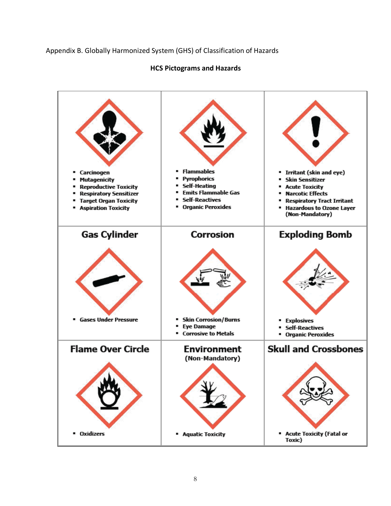# Appendix B. Globally Harmonized System (GHS) of Classification of Hazards



#### **HCS Pictograms and Hazards**